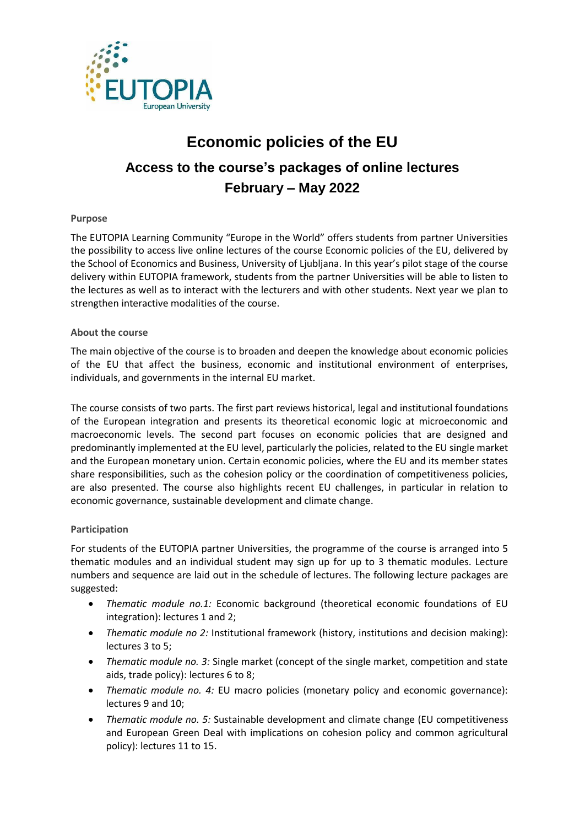

# **Economic policies of the EU Access to the course's packages of online lectures February – May 2022**

## **Purpose**

The EUTOPIA Learning Community "Europe in the World" offers students from partner Universities the possibility to access live online lectures of the course Economic policies of the EU, delivered by the School of Economics and Business, University of Ljubljana. In this year's pilot stage of the course delivery within EUTOPIA framework, students from the partner Universities will be able to listen to the lectures as well as to interact with the lecturers and with other students. Next year we plan to strengthen interactive modalities of the course.

#### **About the course**

The main objective of the course is to broaden and deepen the knowledge about economic policies of the EU that affect the business, economic and institutional environment of enterprises, individuals, and governments in the internal EU market.

The course consists of two parts. The first part reviews historical, legal and institutional foundations of the European integration and presents its theoretical economic logic at microeconomic and macroeconomic levels. The second part focuses on economic policies that are designed and predominantly implemented at the EU level, particularly the policies, related to the EU single market and the European monetary union. Certain economic policies, where the EU and its member states share responsibilities, such as the cohesion policy or the coordination of competitiveness policies, are also presented. The course also highlights recent EU challenges, in particular in relation to economic governance, sustainable development and climate change.

#### **Participation**

For students of the EUTOPIA partner Universities, the programme of the course is arranged into 5 thematic modules and an individual student may sign up for up to 3 thematic modules. Lecture numbers and sequence are laid out in the schedule of lectures. The following lecture packages are suggested:

- *Thematic module no.1:* Economic background (theoretical economic foundations of EU integration): lectures 1 and 2;
- *Thematic module no 2:* Institutional framework (history, institutions and decision making): lectures 3 to 5;
- *Thematic module no. 3:* Single market (concept of the single market, competition and state aids, trade policy): lectures 6 to 8;
- *Thematic module no. 4:* EU macro policies (monetary policy and economic governance): lectures 9 and 10;
- *Thematic module no. 5:* Sustainable development and climate change (EU competitiveness and European Green Deal with implications on cohesion policy and common agricultural policy): lectures 11 to 15.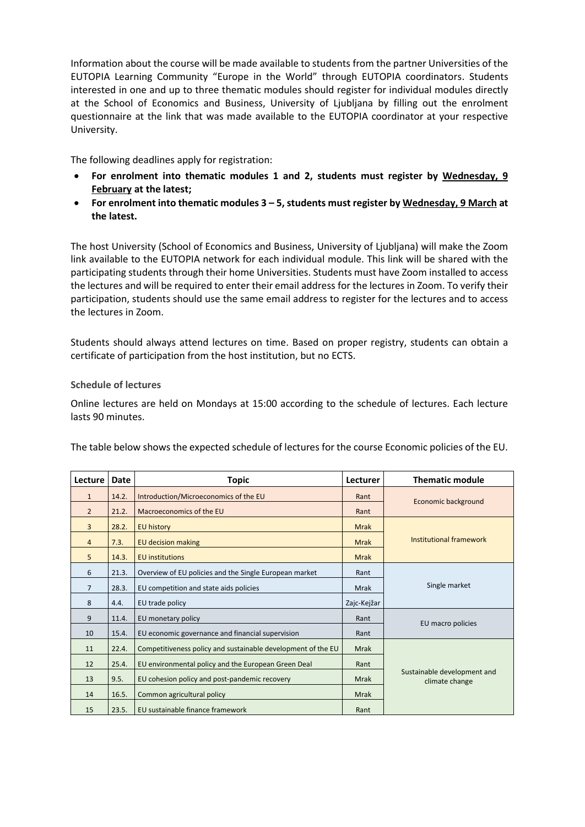Information about the course will be made available to students from the partner Universities of the EUTOPIA Learning Community "Europe in the World" through EUTOPIA coordinators. Students interested in one and up to three thematic modules should register for individual modules directly at the School of Economics and Business, University of Ljubljana by filling out the enrolment questionnaire at the link that was made available to the EUTOPIA coordinator at your respective University.

The following deadlines apply for registration:

- **For enrolment into thematic modules 1 and 2, students must register by Wednesday, 9 February at the latest;**
- **For enrolment into thematic modules 3 – 5, students must register by Wednesday, 9 March at the latest.**

The host University (School of Economics and Business, University of Ljubljana) will make the Zoom link available to the EUTOPIA network for each individual module. This link will be shared with the participating students through their home Universities. Students must have Zoom installed to access the lectures and will be required to enter their email address for the lectures in Zoom. To verify their participation, students should use the same email address to register for the lectures and to access the lectures in Zoom.

Students should always attend lectures on time. Based on proper registry, students can obtain a certificate of participation from the host institution, but no ECTS.

### **Schedule of lectures**

Online lectures are held on Mondays at 15:00 according to the schedule of lectures. Each lecture lasts 90 minutes.

The table below shows the expected schedule of lectures for the course Economic policies of the EU.

| Lecture        | Date  | Topic                                                        | Lecturer    | <b>Thematic module</b>                        |
|----------------|-------|--------------------------------------------------------------|-------------|-----------------------------------------------|
| $\mathbf{1}$   | 14.2. | Introduction/Microeconomics of the EU                        | Rant        | Economic background                           |
| $\overline{2}$ | 21.2. | Macroeconomics of the EU                                     | Rant        |                                               |
| $\overline{3}$ | 28.2. | <b>EU history</b>                                            | <b>Mrak</b> |                                               |
| $\overline{4}$ | 7.3.  | <b>EU decision making</b>                                    | <b>Mrak</b> | Institutional framework                       |
| 5              | 14.3. | <b>EU</b> institutions                                       | <b>Mrak</b> |                                               |
| 6              | 21.3. | Overview of EU policies and the Single European market       | Rant        |                                               |
| $\overline{7}$ | 28.3. | EU competition and state aids policies                       | <b>Mrak</b> | Single market                                 |
| 8              | 4.4.  | EU trade policy                                              | Zajc-Kejžar |                                               |
| 9              | 11.4. | EU monetary policy                                           | Rant        | EU macro policies                             |
| 10             | 15.4. | EU economic governance and financial supervision             | Rant        |                                               |
| 11             | 22.4. | Competitiveness policy and sustainable development of the EU | Mrak        |                                               |
| 12             | 25.4. | EU environmental policy and the European Green Deal          | Rant        |                                               |
| 13             | 9.5.  | EU cohesion policy and post-pandemic recovery                | <b>Mrak</b> | Sustainable development and<br>climate change |
| 14             | 16.5. | Common agricultural policy                                   | <b>Mrak</b> |                                               |
| 15             | 23.5. | EU sustainable finance framework                             | Rant        |                                               |